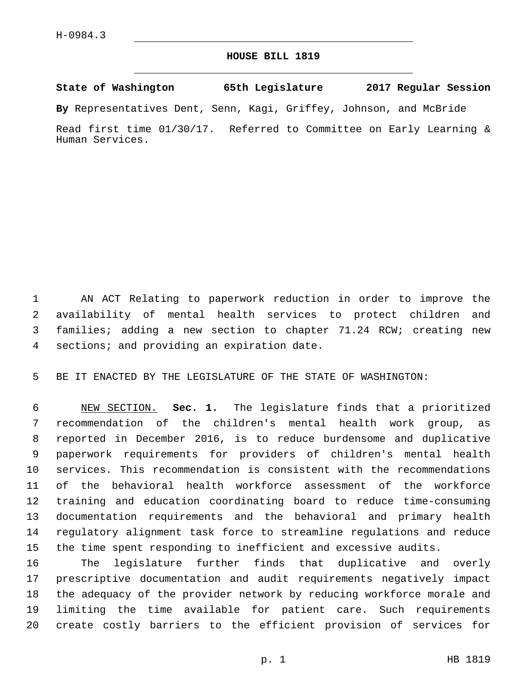## **HOUSE BILL 1819**

**State of Washington 65th Legislature 2017 Regular Session**

**By** Representatives Dent, Senn, Kagi, Griffey, Johnson, and McBride

Read first time 01/30/17. Referred to Committee on Early Learning & Human Services.

 AN ACT Relating to paperwork reduction in order to improve the availability of mental health services to protect children and families; adding a new section to chapter 71.24 RCW; creating new 4 sections; and providing an expiration date.

BE IT ENACTED BY THE LEGISLATURE OF THE STATE OF WASHINGTON:

 NEW SECTION. **Sec. 1.** The legislature finds that a prioritized recommendation of the children's mental health work group, as reported in December 2016, is to reduce burdensome and duplicative paperwork requirements for providers of children's mental health services. This recommendation is consistent with the recommendations of the behavioral health workforce assessment of the workforce training and education coordinating board to reduce time-consuming documentation requirements and the behavioral and primary health regulatory alignment task force to streamline regulations and reduce the time spent responding to inefficient and excessive audits.

 The legislature further finds that duplicative and overly prescriptive documentation and audit requirements negatively impact the adequacy of the provider network by reducing workforce morale and limiting the time available for patient care. Such requirements create costly barriers to the efficient provision of services for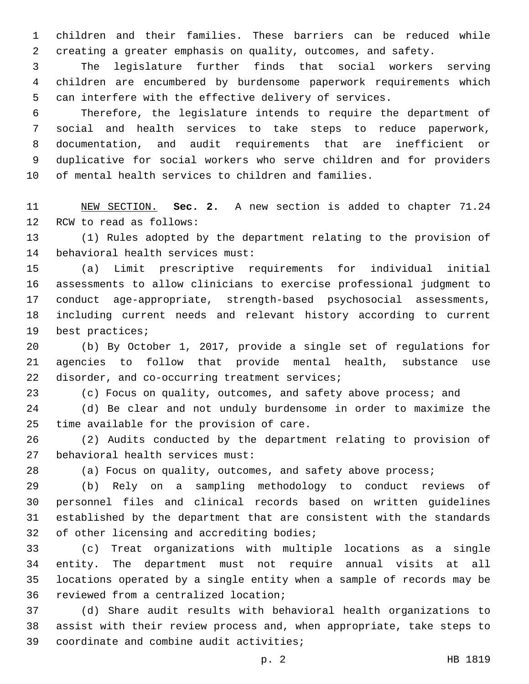children and their families. These barriers can be reduced while creating a greater emphasis on quality, outcomes, and safety.

 The legislature further finds that social workers serving children are encumbered by burdensome paperwork requirements which can interfere with the effective delivery of services.

 Therefore, the legislature intends to require the department of social and health services to take steps to reduce paperwork, documentation, and audit requirements that are inefficient or duplicative for social workers who serve children and for providers of mental health services to children and families.

 NEW SECTION. **Sec. 2.** A new section is added to chapter 71.24 12 RCW to read as follows:

 (1) Rules adopted by the department relating to the provision of 14 behavioral health services must:

 (a) Limit prescriptive requirements for individual initial assessments to allow clinicians to exercise professional judgment to conduct age-appropriate, strength-based psychosocial assessments, including current needs and relevant history according to current 19 best practices;

 (b) By October 1, 2017, provide a single set of regulations for agencies to follow that provide mental health, substance use 22 disorder, and co-occurring treatment services;

(c) Focus on quality, outcomes, and safety above process; and

 (d) Be clear and not unduly burdensome in order to maximize the 25 time available for the provision of care.

 (2) Audits conducted by the department relating to provision of 27 behavioral health services must:

(a) Focus on quality, outcomes, and safety above process;

 (b) Rely on a sampling methodology to conduct reviews of personnel files and clinical records based on written guidelines established by the department that are consistent with the standards 32 of other licensing and accrediting bodies;

 (c) Treat organizations with multiple locations as a single entity. The department must not require annual visits at all locations operated by a single entity when a sample of records may be 36 reviewed from a centralized location;

 (d) Share audit results with behavioral health organizations to assist with their review process and, when appropriate, take steps to 39 coordinate and combine audit activities;